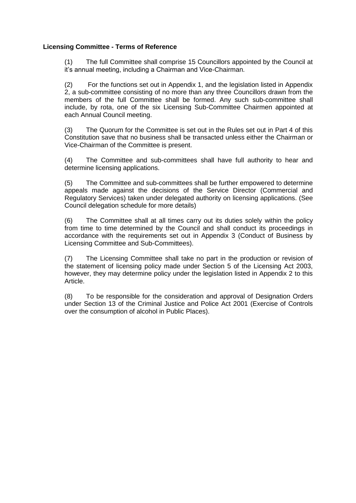#### **Licensing Committee - Terms of Reference**

(1) The full Committee shall comprise 15 Councillors appointed by the Council at it's annual meeting, including a Chairman and Vice-Chairman.

(2) For the functions set out in Appendix 1, and the legislation listed in Appendix 2, a sub-committee consisting of no more than any three Councillors drawn from the members of the full Committee shall be formed. Any such sub-committee shall include, by rota, one of the six Licensing Sub-Committee Chairmen appointed at each Annual Council meeting.

(3) The Quorum for the Committee is set out in the Rules set out in Part 4 of this Constitution save that no business shall be transacted unless either the Chairman or Vice-Chairman of the Committee is present.

(4) The Committee and sub-committees shall have full authority to hear and determine licensing applications.

(5) The Committee and sub-committees shall be further empowered to determine appeals made against the decisions of the Service Director (Commercial and Regulatory Services) taken under delegated authority on licensing applications. (See Council delegation schedule for more details)

(6) The Committee shall at all times carry out its duties solely within the policy from time to time determined by the Council and shall conduct its proceedings in accordance with the requirements set out in Appendix 3 (Conduct of Business by Licensing Committee and Sub-Committees).

(7) The Licensing Committee shall take no part in the production or revision of the statement of licensing policy made under Section 5 of the Licensing Act 2003, however, they may determine policy under the legislation listed in Appendix 2 to this Article.

(8) To be responsible for the consideration and approval of Designation Orders under Section 13 of the Criminal Justice and Police Act 2001 (Exercise of Controls over the consumption of alcohol in Public Places).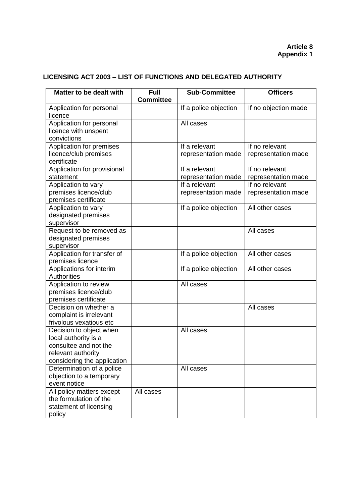# **LICENSING ACT 2003 – LIST OF FUNCTIONS AND DELEGATED AUTHORITY**

| Matter to be dealt with                               | <b>Full</b><br><b>Committee</b> | <b>Sub-Committee</b>  | <b>Officers</b>      |
|-------------------------------------------------------|---------------------------------|-----------------------|----------------------|
| Application for personal                              |                                 | If a police objection | If no objection made |
| licence<br>Application for personal                   |                                 | All cases             |                      |
| licence with unspent                                  |                                 |                       |                      |
| convictions                                           |                                 |                       |                      |
| Application for premises                              |                                 | If a relevant         | If no relevant       |
| licence/club premises                                 |                                 | representation made   | representation made  |
| certificate                                           |                                 | If a relevant         | If no relevant       |
| Application for provisional<br>statement              |                                 | representation made   | representation made  |
| Application to vary                                   |                                 | If a relevant         | If no relevant       |
| premises licence/club                                 |                                 | representation made   | representation made  |
| premises certificate                                  |                                 |                       |                      |
| Application to vary                                   |                                 | If a police objection | All other cases      |
| designated premises                                   |                                 |                       |                      |
| supervisor                                            |                                 |                       |                      |
| Request to be removed as                              |                                 |                       | All cases            |
| designated premises<br>supervisor                     |                                 |                       |                      |
| Application for transfer of                           |                                 | If a police objection | All other cases      |
| premises licence                                      |                                 |                       |                      |
| Applications for interim                              |                                 | If a police objection | All other cases      |
| <b>Authorities</b>                                    |                                 |                       |                      |
| Application to review                                 |                                 | All cases             |                      |
| premises licence/club                                 |                                 |                       |                      |
| premises certificate<br>Decision on whether a         |                                 |                       | All cases            |
| complaint is irrelevant                               |                                 |                       |                      |
| frivolous vexatious etc                               |                                 |                       |                      |
| Decision to object when                               |                                 | All cases             |                      |
| local authority is a                                  |                                 |                       |                      |
| consultee and not the                                 |                                 |                       |                      |
| relevant authority                                    |                                 |                       |                      |
| considering the application                           |                                 |                       |                      |
| Determination of a police<br>objection to a temporary |                                 | All cases             |                      |
| event notice                                          |                                 |                       |                      |
| All policy matters except                             | All cases                       |                       |                      |
| the formulation of the                                |                                 |                       |                      |
| statement of licensing                                |                                 |                       |                      |
| policy                                                |                                 |                       |                      |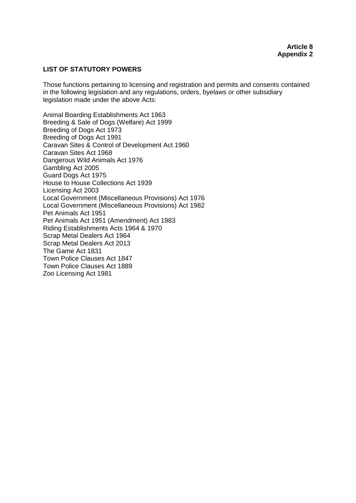#### **LIST OF STATUTORY POWERS**

Those functions pertaining to licensing and registration and permits and consents contained in the following legislation and any regulations, orders, byelaws or other subsidiary legislation made under the above Acts:

Animal Boarding Establishments Act 1963 Breeding & Sale of Dogs (Welfare) Act 1999 Breeding of Dogs Act 1973 Breeding of Dogs Act 1991 Caravan Sites & Control of Development Act 1960 Caravan Sites Act 1968 Dangerous Wild Animals Act 1976 Gambling Act 2005 Guard Dogs Act 1975 House to House Collections Act 1939 Licensing Act 2003 Local Government (Miscellaneous Provisions) Act 1976 Local Government (Miscellaneous Provisions) Act 1982 Pet Animals Act 1951 Pet Animals Act 1951 (Amendment) Act 1983 Riding Establishments Acts 1964 & 1970 Scrap Metal Dealers Act 1964 Scrap Metal Dealers Act 2013 The Game Act 1831 Town Police Clauses Act 1847 Town Police Clauses Act 1889 Zoo Licensing Act 1981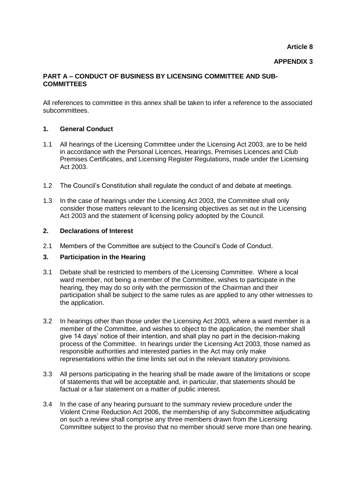**Article 8**

#### **APPENDIX 3**

#### **PART A – CONDUCT OF BUSINESS BY LICENSING COMMITTEE AND SUB-COMMITTEES**

All references to committee in this annex shall be taken to infer a reference to the associated subcommittees.

### **1. General Conduct**

- 1.1 All hearings of the Licensing Committee under the Licensing Act 2003, are to be held in accordance with the Personal Licences, Hearings, Premises Licences and Club Premises Certificates, and Licensing Register Regulations, made under the Licensing Act 2003.
- 1.2 The Council's Constitution shall regulate the conduct of and debate at meetings.
- 1.3 In the case of hearings under the Licensing Act 2003, the Committee shall only consider those matters relevant to the licensing objectives as set out in the Licensing Act 2003 and the statement of licensing policy adopted by the Council.

#### **2. Declarations of Interest**

2.1 Members of the Committee are subject to the Council's Code of Conduct.

#### **3. Participation in the Hearing**

- 3.1 Debate shall be restricted to members of the Licensing Committee. Where a local ward member, not being a member of the Committee, wishes to participate in the hearing, they may do so only with the permission of the Chairman and their participation shall be subject to the same rules as are applied to any other witnesses to the application.
- 3.2 In hearings other than those under the Licensing Act 2003, where a ward member is a member of the Committee, and wishes to object to the application, the member shall give 14 days' notice of their intention, and shall play no part in the decision-making process of the Committee. In hearings under the Licensing Act 2003, those named as responsible authorities and interested parties in the Act may only make representations within the time limits set out in the relevant statutory provisions.
- 3.3 All persons participating in the hearing shall be made aware of the limitations or scope of statements that will be acceptable and, in particular, that statements should be factual or a fair statement on a matter of public interest.
- 3.4 In the case of any hearing pursuant to the summary review procedure under the Violent Crime Reduction Act 2006, the membership of any Subcommittee adjudicating on such a review shall comprise any three members drawn from the Licensing Committee subject to the proviso that no member should serve more than one hearing.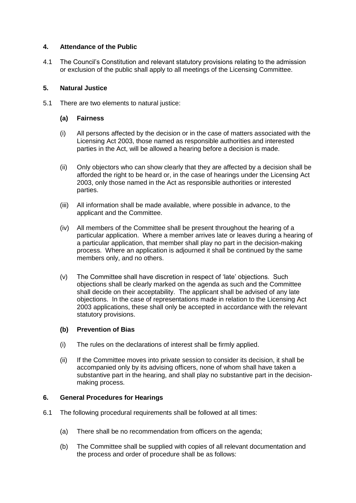## **4. Attendance of the Public**

4.1 The Council's Constitution and relevant statutory provisions relating to the admission or exclusion of the public shall apply to all meetings of the Licensing Committee.

### **5. Natural Justice**

5.1 There are two elements to natural justice:

### **(a) Fairness**

- (i) All persons affected by the decision or in the case of matters associated with the Licensing Act 2003, those named as responsible authorities and interested parties in the Act, will be allowed a hearing before a decision is made.
- (ii) Only objectors who can show clearly that they are affected by a decision shall be afforded the right to be heard or, in the case of hearings under the Licensing Act 2003, only those named in the Act as responsible authorities or interested parties.
- (iii) All information shall be made available, where possible in advance, to the applicant and the Committee.
- (iv) All members of the Committee shall be present throughout the hearing of a particular application. Where a member arrives late or leaves during a hearing of a particular application, that member shall play no part in the decision-making process. Where an application is adjourned it shall be continued by the same members only, and no others.
- (v) The Committee shall have discretion in respect of 'late' objections. Such objections shall be clearly marked on the agenda as such and the Committee shall decide on their acceptability. The applicant shall be advised of any late objections. In the case of representations made in relation to the Licensing Act 2003 applications, these shall only be accepted in accordance with the relevant statutory provisions.

## **(b) Prevention of Bias**

- (i) The rules on the declarations of interest shall be firmly applied.
- (ii) If the Committee moves into private session to consider its decision, it shall be accompanied only by its advising officers, none of whom shall have taken a substantive part in the hearing, and shall play no substantive part in the decisionmaking process.

## **6. General Procedures for Hearings**

- 6.1 The following procedural requirements shall be followed at all times:
	- (a) There shall be no recommendation from officers on the agenda;
	- (b) The Committee shall be supplied with copies of all relevant documentation and the process and order of procedure shall be as follows: